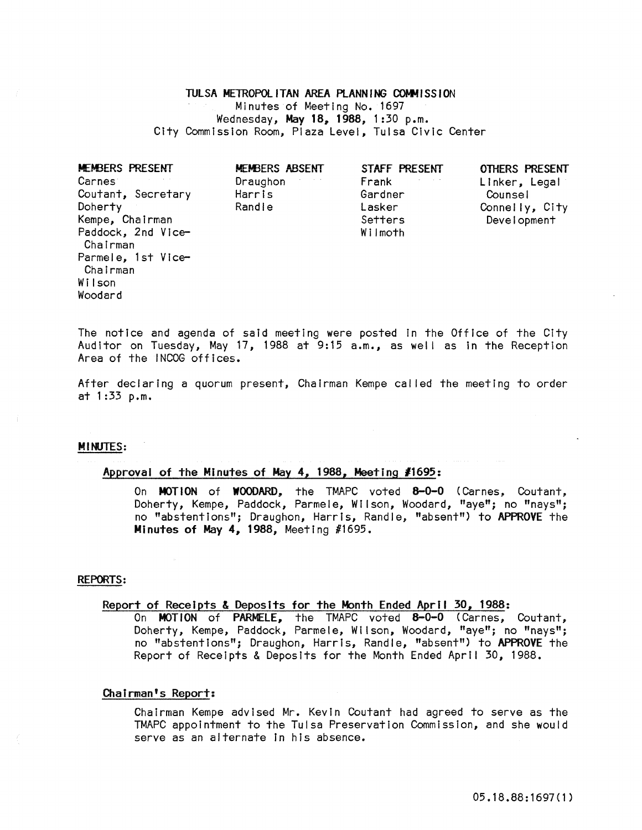### TULSA METROPOliTAN AREA PlANNING COMMISSION

Minutes of Meeting No. 1697 Wednesday, May 18, 1988, 1:30 p.m. City Commission Room, Plaza Level, Tulsa Civic Center

| Carnes <sup>®</sup><br>$\sigma_{\rm{eff}}=0.001$<br>Draughon<br>Coutant, Secretary<br>Harris<br>Randle<br>Doherty<br>Kempe, Chairman<br>Paddock, 2nd Vice-<br>Chairman<br>Parmele, 1st Vice-<br>Chairman<br>Wilson<br>Woodard | Frank<br>Gardner<br>Lasker<br>Setters<br>Wilmoth | Linker, Legal<br>Counsel<br>Connelly, City<br>Development |
|-------------------------------------------------------------------------------------------------------------------------------------------------------------------------------------------------------------------------------|--------------------------------------------------|-----------------------------------------------------------|
|-------------------------------------------------------------------------------------------------------------------------------------------------------------------------------------------------------------------------------|--------------------------------------------------|-----------------------------------------------------------|

The notice and agenda of said meeting were posted In the Office of the City Auditor on Tuesday, May 17, 1988 at 9:15 a.m., as well as In the Reception Area of the INCOG offices.

After declaring a quorum present, Chairman Kempe called the meeting to order at 1 :33 p.m.

# MINUTES:

# Approval of the Minutes of May 4, 1988, Meeting *11695:*

On MOTION of WOODARD, the TMAPC voted 8-0-0 (Carnes, Coutant, Doherty, Kempe, Paddock, Parmele, Wilson, Woodard, "aye"; no "nays"; no "abstentions"; Draughon, Harris, Randle, "absent") to APPROVE the Minutes of May 4, 1988, Meeting #1695.

#### REPORTS:

# Report of Receipts & Deposits for the Month Ended April 30, 1988:

On MOTION of PARMELE, the TMAPC voted 8-0-0 (Carnes, Coutant, Doherty, Kempe, Paddock, Parmele, Wilson, Woodard, "aye"; no "nays"; no "abstentions"; Draughon, Harris, Randle, "absent") to APPROVE the Report of Receipts & Deposits for the Month Ended April 30, 1988.

# Chairman's Report:

Chairman Kempe advised Mr. Kevin Coutant had agreed to serve as the TMAPC appointment to the Tulsa Preservation Commission, and she would serve as an alternate In his absence.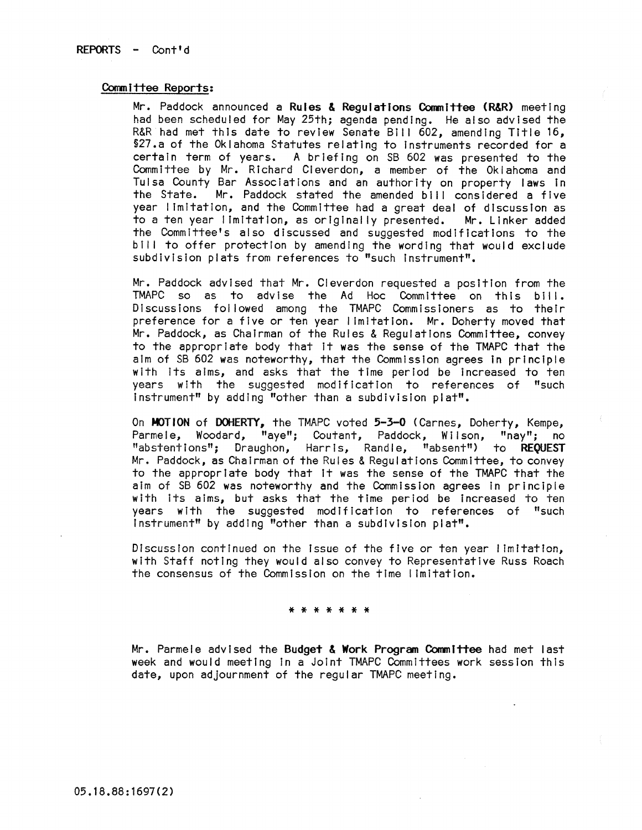# Committee Reports:

Mr. Paddock announced a Rules & Regulations Committee (R&R) meeting had been scheduled for May 25th; agenda pending. He also advised the R&R had met this date to review Senate Bill 602, amending Title 16, §27.a of the Oklahoma Statutes relating to Instruments recorded for a certain term of years. A briefing on SB 602 was presented to the Committee by Mr. Richard Cleverdon, a member of the Oklahoma and Tulsa County Bar Associations and an authority on property laws in the State. Mr. Paddock stated the amended bill considered a five year I imitation, and the Committee had a great deal of discussion as to a ten year I imitation, as originally presented. Mr. Linker added the Committee's also discussed and suggested modifications to the bill to offer protection by amending the wording that would exclude subdivision plats from references to "such Instrument".

Mr. Paddock advised that Mr. Cleverdon requested a position from the TMAPC so as to advise the Ad Hoc Committee on this bill. Discussions fol lowed among the TMAPC Commissioners as to their preference for a five or ten year I Imitation. Mr. Doherty moved that Mr. Paddock, as Chairman of the Rules & Regulations Committee, convey to the appropriate body that It was the sense of the TMAPC that the aim of SB 602 was noteworthy, that the Commission agrees in principle with Its alms, and asks that the time period be Increased to ten years with the suggested modification to references of "such Instrument" by adding "other than a subdivision plat".

On MOTION of DOHERTY, the TMAPC voted 5-3-0 (Carnes, Doherty, Kempe, Parmele, Woodard, "aye"; Coutant, Paddock, Wilson, "nay"; no "abstentions"; Draughon, Harris, Randle, "absent") to REQUEST Mr. Paddock, as Chairman of the Rules & Regulations Committee, to convey to the appropriate body that It was the sense of the TMAPC that the aim of SB 602 was noteworthy and the Commission agrees In principle with its aims, but asks that the time period be increased to ten years with the suggested modification to references of "such Instrument" by adding "other than a subdivision plat".

**DiscussIon continued on the issue of the five or ten year' imitatton,**  with Staff noting they would also convey to Representative Russ Roach the consensus of the Commission on the time I Imitation.

#### \* \* \* \* \* \* \*

Mr. Parmele advised the Budget & Work Program Committee had met last week and would meeting In a Joint TMAPC Committees work session this date, upon adjournment of the regular TMAPC meeting.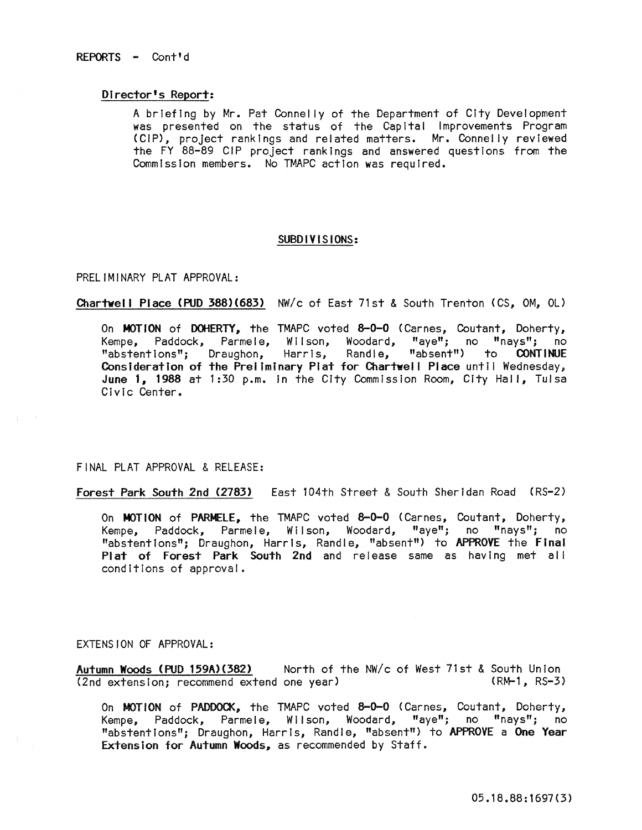#### Director's Report:

A briefing by Mr. Pat Connelly of the Department of City Development was presented on the status of the Capital Improvements Program (CIP), project rankings and related matters. Mr. Connelly reviewed the FY 88-89 CIP project ranklngs and answered questions from the Commission members. No TMAPC action was required.

# SUBDIVISIONS:

### PRELIMINARY PLAT APPROVAL:

# Chartwell Place (PUD 388)(683) NW/c of East 71st & South Trenton (CS, OM, OL)

On MOTION of DOHERTY, the TMAPC voted 8-0-0 (Carnes, Coutant, Doherty, Kempe, Paddock, Parmele, Wilson, Woodard, "aye"; no "nays"; no "abstentions"; Draughon, Harris, Randle, "absent") to CONTINUE Consideration of the Preliminary Plat for Chartwell Place until Wednesday, June 1, 1988 at 1:30 p.m. In the City Commission Room, City Hall, Tulsa Civic Center.

# FINAL PLAT APPROVAL & RELEASE:

Forest Park South 2nd (2783) East 104th Street & South Sheridan Road (RS=2)

On MOTION of PARMELE, the TMAPC voted 8-0-0 (Carnes, Coutant, Doherty, Kempe, Paddock, Parmele, Wilson, Woodard, "aye"; no "nays"; no "abstentions"; Draughon, Harris, Randle, "absent") to APPROVE the Final Plat of Forest Park South 2nd and release same as having met all conditions of approval.

### EXTENSION OF APPROVAL:

Autumn Woods (PUD 159A)(382) Morth of the NW/c of West 71st & South Union<br>(2nd extension: recommend extend one year) (RM-1, RS-3) (2nd extension; recommend extend one year)

On MOTION of PADDOCK, the TMAPC voted 8-0-0 (Carnes, Coutant, Doherty, Kempe, Paddock, Parmele, Wilson, Woodard, "aye"; no "nays"; no "abstentions"; Draughon, Harris, Randle, "absent") to APPROVE a One Year Extension for Autumn Woods, as recommended by Staff.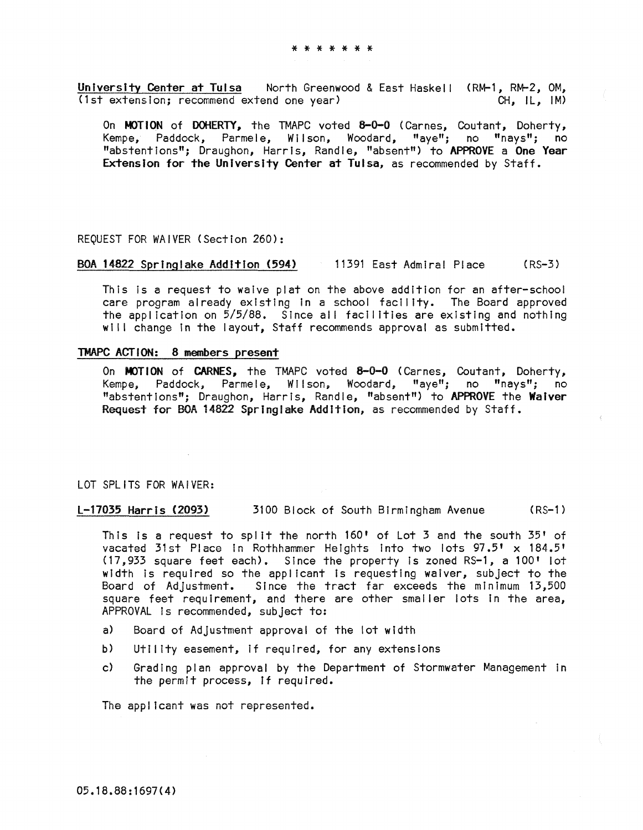University Center at Tulsa Morth Greenwood & East Haskell (RM-1, RM-2, OM, (1st extension; recommend extend one year) CH, IL, IM)

On MOTION of DOHERTY, the TMAPC voted 8-0-0 (Carnes, Coutant, Doherty, Kempe, Paddock, Parmele, Wilson, Woodard, "aye"; no "nays"; no "abstentions"; Draughon, Harris, Randle, "absent") to APPROVE a One Year Extension for the University Center at Tulsa, as recommended by Staff.

### REQUEST FOR WAIVER (Section 260):

# BOA 14822 Springlake Addition (594) 11391 East Admiral Place (RS-3)

This Is a request to waive plat on the above addition for an after-school care program already existing In a school facility. The Board approved the application on 5/5/88. Since all facilities are existing and nothing will change in the layout, Staff recommends approval as submitted.

#### TMAPC ACTION: 8 members present

On MOTION of CARNES, the TMAPC voted 8-0-0 (Carnes, Coutant, Doherty, Kempe, Paddock, Parmele, Wilson, Woodard, "aye"; no "nays"; no "abstentions"; Draughon, Harris, Randle, "absent") to APPROVE the Waiver Request for BOA 14822 Springlake Addition, as recommended by Staff.

### LOT SPLITS FOR WAIVER:

L-17035 Harris (2093) 3100 Block of South Birmingham Avenue (RS-1)

This Is a request to spilt the north 160' of Lot 3 and the south 35' of vacated 31st Place in Rothhammer Heights Into two lots 97.5' x 184.5' (17,933 square feet each). Since the property Is zoned RS-1, a 100' lot width Is required so the applicant is requesting waiver, subject to the Board of Adjustment. Since the tract far exceeds the minimum 13,500 square feet requirement, and there are other smaller lots in the area, APPROVAL Is recommended, subject to:

- a) Board of Adjustment approval of the lot width
- b) Utility easement, If required, for any extensions
- c) Grading plan approval by the Department of Stormwater Management In the permit process, If required.

The applicant was not represented.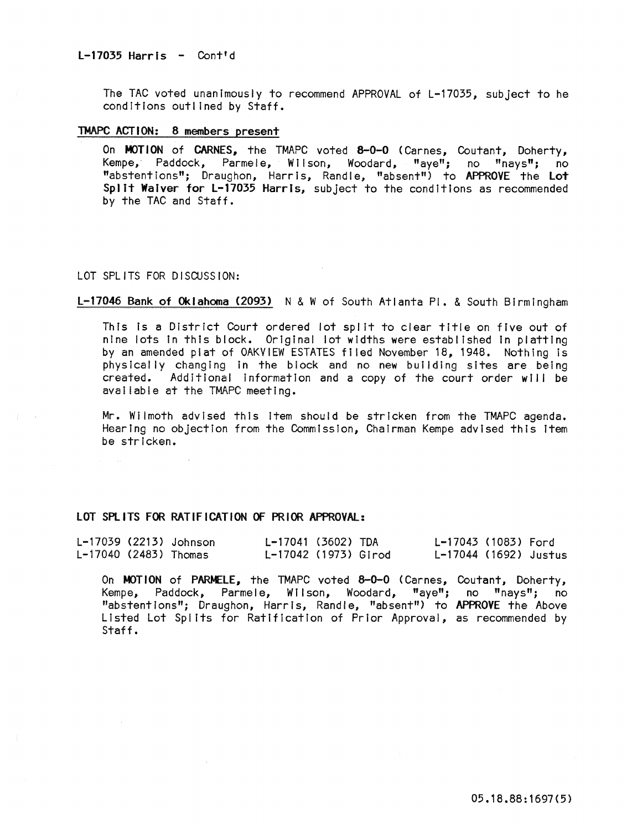The TAC voted unanimously to recommend APPROVAL of L-17035, subject to he conditions outlined by Staff.

## TMAPC ACTION: 8 members present

On MOTION of CARNES, the TMAPC voted 8-0-0 (Carnes, Coutant, Doherty, Kempe, Paddock, Parmele, Wilson, Woodard, "aye"; no "nays"; no "abstentions"; Draughon, Harris, Randle, "absent") to APPROVE the Lot Spilt Waiver for L-17035 Harris, subject to the conditions as recommended by the TAC and Staff.

#### LOT SPLITS FOR DISCUSSION:

### L-17046 Bank of Oklahoma (2093) N & W of South Atlanta PI. & South Birmingham

This Is a District Court ordered lot spilt to clear title on five out of nine lots in this block. Original lot widths were established In platting by an amended plat of OAKVIEW ESTATES filed November 18, 1948. Nothing is physically changing in the block and no new building sites are being created. Additional information and a copy of the court order will be available at the TMAPC meeting.

Mr. Wilmoth advised this Item should be stricken from the TMAPC agenda. Hearing no objection from the Commission, Chairman Kempe advised this Item be stricken.

# LOT SPLITS FOR RATIFICATION OF PRIOR APPROVAL:

|                         | L-17039 (2213) Johnson | L-17041 (3602) TDA   |  | L-17043 (1083) Ford   |  |
|-------------------------|------------------------|----------------------|--|-----------------------|--|
| $L-17040$ (2483) Thomas |                        | L-17042 (1973) Girod |  | L-17044 (1692) Justus |  |

On MOTION of PARMELE, the TMAPC voted 8-0-0 (Carnes, Coutant, Doherty, Kempe, Paddock, Parmele, Wilson, Woodard, "aye"; no "nays"; no "abstentions"; Draughon, Harris, Randle, "absent") to APPROVE the Above Listed Lot Splits for Ratification of Prior Approval, as recommended by Staff.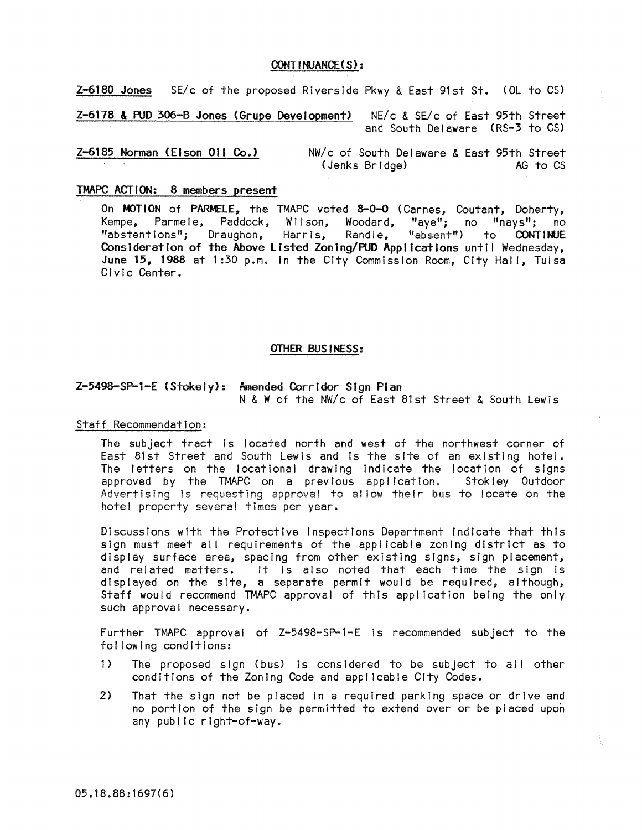# CONT I NUANCE ( S) :

Z-6180 Jones SE/c of the proposed Riverside Pkwy & East 91st St. (OL to CS)

Z-6178 & PUD 306-B Jones (Grupe Development) NE/c & SE/c of East 95th Street and South Delaware (RS-3 to CS)

Z-6185 Norman (Elson Oil Co.> NW/c of South Delaware & East 95th Street (Jenks Bridge)

# TMAPC ACTION: 8 members present

On MOTION of PARMELE, the TMAPC voted 8-0-0 (Carnes, Coutant, Doherty, Kempe, Parmele, Paddock, Wilson, Woodard, "aye"; no "nays"; no "abstentions"; Draughon, Harris, Randle, "absent") to CONTINUE Consideration of the Above Listed Zoning/PUD Applications until Wednesday, June 15, 1988 at 1:30 p.m. in the City Commission Room, City Hall, Tulsa Civic Center.

### OTHER BUSINESS:

# Z-5498-SP-1-E (Stokely): Amended Corridor SIgn Plan N & W of the NW/c of East 81st Street & South Lewis

Staff Recommendation:

The subject tract is located north and west of the northwest corner of East 81st Street and South Lewis and is the site of an existing hotel. The letters on the locational drawing indicate the location of signs approved by the TMAPC on a previous application. Stokley Outdoor Advertising is requesting approval to allow their bus to locate on the hotel property severa! times per year.

Discussions with the Protective Inspections Department Indicate that this sign must meet all requirements of the applicable zoning district as to display surface area, spacing from other existing signs, sign placement, display surface area, spacing from other existing signs, sign placement,<br>and related matters. It is also noted that each time the sign is displayed on the site, a separate permit would be required, although, Staff would recommend TMAPC approval of this application being the only such approval necessary.

Further TMAPC approval of Z-5498-SP-1-E is recommended subject to the fol lowing conditions:

- 1) The proposed sign (bus) Is considered to be subject to all other conditions of the Zoning Code and applicable City Codes.
- 2) That the sign not be placed In a required parking space or drive and no portion of the sign be permitted to extend over or be piaced upon any public right-of-way.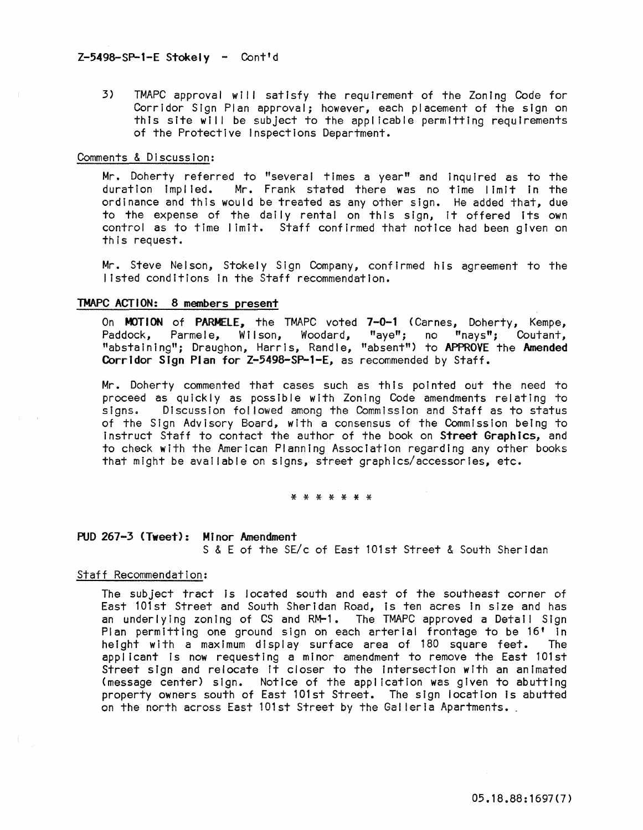# Z-5498-SP-1-E Stokely - Cont'd

3) TMAPC approval will satisfy the requirement of the Zoning Code for Corridor Sign Plan approval; however, each placement of the sign on this site will be subject to the applicable permitting requirements of the Protective Inspections Department.

### Comments & Discussion:

Mr. Doherty referred to "several times a year" and Inquired as to the duration implied. Mr. Frank stated there was no time limit in the ordinance and this would be treated as any other sign. He added that, due to the expense of the daily rental on this sign, it offered its own control as to time limit. Staff confirmed that notice had been given on this request.

Mr. Steve Nelson, Stokely Sign Company, confirmed his agreement to the listed conditions In the Staff recommendation.

# TMAPC ACTION: 8 members present

On MOTION of PARMELE, the TMAPC voted 7-0-1 (Carnes, Doherty, Kempe, Paddock, Parmele, Wilson, Woodard, "aye"; no "nays"; Coutant, "abstaining"; Draughon, Harris, Randle, "absent") to APPROVE the Amended Corridor Sign Plan for Z-5498-SP-1-E, as recommended by Staff.

Mr. Doherty commented that cases such as this pointed out the need to proceed as quickly as possible with Zoning Code amendments relating to<br>signs. Discussion followed among the Commission and Staff as to status Discussion followed among the Commission and Staff as to status of the Sign Advisory Board, with a consensus of the Commission beIng to Instruct Staff to contact the author of the book on Street Graphics, and to check with the American Planning Association regarding any other books that might be available on signs, street graphics/accessories, etc.

\* \* \* \* \* \* \*

# PUD 267-3 (Tweet): Minor Amendment

S & E of the SE/c of East 101st Street & South Sheridan

# Staff Recommendation:

The subject tract is located south and east of the southeast corner of East 101st Street and South Sheridan Road, is ten acres in size and has an underlying zoning of CS and RM-1. The TMAPC approved a Detail Sign Plan permitting one ground sign on each arterial frontage to be 16' In height with a maximum display surface area of 180 square feet. The applicant is now requesting a minor amendment to remove the East 101st Street sign and relocate It closer to the Intersection with an animated (message center) sign. Notice of the application was given to abutting property owners south of East 101st Street. The sign location Is abutted **on the north across East 101st Street by the Galleria Apartments.**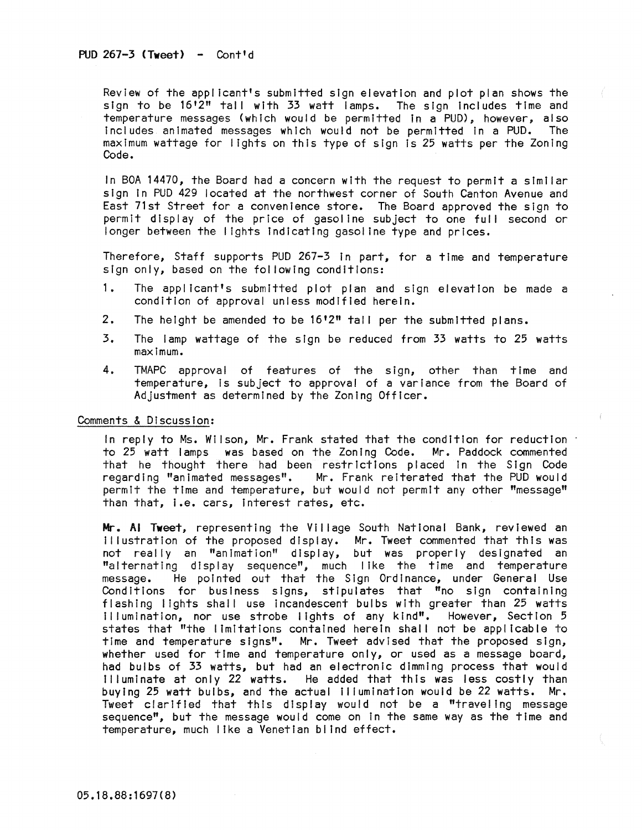Review of the applicant's submitted sign elevation and plot plan shows the sign to be 16'2" tall with 33 watt lamps. The sign Includes time and temperature messages (which would be permitted In a PUD), however, also includes animated messages which would not be permitted in a PUD. The maximum wattage for lights on this type of sign Is 25 watts per the Zoning Code.

In BOA 14470, the Board had a concern with the request to permit a similar sign In PUD 429 located at the northwest corner of South Canton Avenue and East 71st Street for a convenience store. The Board approved the sign to permit display of the price of gasoline subject to one full second or longer between the I ights Indicating gasoline type and prices.

Therefore, Staff supports PUD 267-3 In part, for a time and temperature sign only, based on the fol lowing conditions:

- 1. The applicant's submItted plot plan and sign elevation be made a condition of approval unless modified herein.
- 2. The height be amended to be 16'2" tall per the submitted plans.
- 3. The lamp wattage of the sign be reduced from 33 watts to 25 watts maximum.
- 4. TMAPC approval of features of the sign, other than time and temperature, Is subject to approval of a variance from the Board of Adjustment as determined by the Zoning Officer.

Comments & Discussion:

In reply to Ms. Wilson, Mr. Frank stated that the condition for reduction to 25 watt lamps was based on the Zoning Code. Mr. Paddock commented that he thought there had been restrictions placed in the Sign Code regarding "animated messages". Mr. Frank reiterated that the PUD would Mr. Frank reiterated that the PUD would permit the time and temperature, but would not permit any other "message" than that, I.e. cars, Interest rates, etc.

Mr. Al Tweet, representing the Village South National Bank, reviewed an Illustration of the proposed display. Mr. Tweet commented that this was not really an "animation" display, but was properly designated an "alternating display sequence", much I Ike the time and temperature message. He pointed out that the Sign Ordinance, under General Use Conditions for business signs, stipulates that "no sign containing flashing lights shall use incandescent bulbs with greater than 25 watts Illumination, nor use strobe lights of any kind". However, Section 5 states that "the limitations contained herein shall not be applicable to time and temperature signs". Mr. Tweet advised that the proposed sign, whether used for time and temperature only, or used as a message board, had bulbs of 33 watts, but had an electronic dimming process that would Illuminate at only 22 watts. He added that this was less costly than buying 25 watt bulbs, and the actual Illumination would be 22 watts. Mr. Tweet clarified that this display would not be a "traveling message sequence", but the message would come on In the same way as the time and temperature, much like a Venetian blind effect.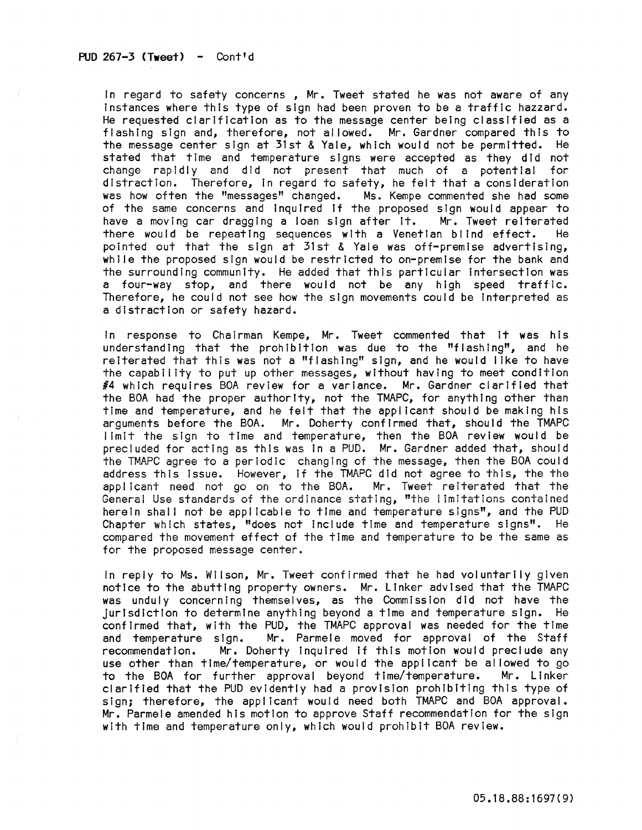In regard to safety concerns , Mr. Tweet stated he was not aware of any instances where this type of sign had been proven to be a traffic hazzard. He requested clarification as to the message center being classified as a flashing sign and, therefore, not allowed. Mr. Gardner compared this to the message center sign at 31st & Yale, which would not be permitted. He stated that time and temperature signs were accepted as they did not **change rapidly and dId not present that much of a potential for**  distraction. Therefore, in regard to safety, he felt that a consideration<br>was how often the "messages" changed. Ms. Kempe commented she had some was how often the "messages" changed. of the same concerns and inquired if the proposed sign would appear to have a moving car dragging a loan sign after it. Mr. Tweet reiterated there would be repeating sequences with a Venetian blind effect. He pointed out that the sign at 31st & Yale was off-premise advertising, while the proposed sign would be restricted to on-premise for the bank and the surrounding community. He added that this particular Intersection was a four-way stop, and there would not be any high speed traffic. Therefore, he could not see how the sign movements could be Interpreted as a distraction or safety hazard.

In response to Chairman Kempe, Mr. Tweet commented that it was his understanding that the prohibition was due to the "flashing", and he reiterated that this was not a "flashing" sign, and he would I Ike to have the capability to put up other messages, without having to meet condition #4 which requires BOA review for a variance. Mr. Gardner clarified that the BOA had the proper authority, not the TMAPC, for anything other than time and temperature, and he felt that the applicant should be making his arguments before the BOA. Mr. Doherty confirmed that, should the TMAPC limit the sign to time and temperature, then the BOA review would be precluded for acting as this was in a PUD. Mr. Gardner added that, should the TMAPC agree to a periodic changIng of the message, then the BOA could address this Issue. However, if the TMAPC did not agree to this, the the appl icant need not go on to the BOA. Mr. Tweet reiterated that the Generai Use standards of the ordinance stating, "the I Imitations contained herein shall not be applicable to time and temperature signs", and the PUD Chapter which states, "does not Include time and temperature signs". He compared the movement effect of the time and temperature to be the same as for the proposed message center.

In reply to Ms. Wilson, Mr. Tweet confirmed that he had voluntarily given notice to the abutting property owners. Mr. Linker advised that the TMAPC was unduly concerning themselves, as the Commission did not have the Jurisdiction to determine anything beyond a time and temperature sign. He confirmed that, with the PUD, the TMAPC approval was needed for the time and temperature sign. Mr. Parmele moved for approval of the Staff recommendation. Mr. Doherty Inquired If this motion would preclude any use other than time/temperature, or would the applicant be allowed to go to the BOA for further approval beyond time/temperature. Mr. Linker clarified that the PUD evidently had a provisIon prohibiting this type of sign; therefore, the applicant would need both TMAPC and BOA approval. Mr. Parmele amended his motton to approve Staff recommendation for the sign with time and temperature only, whIch would prohibIt BOA review.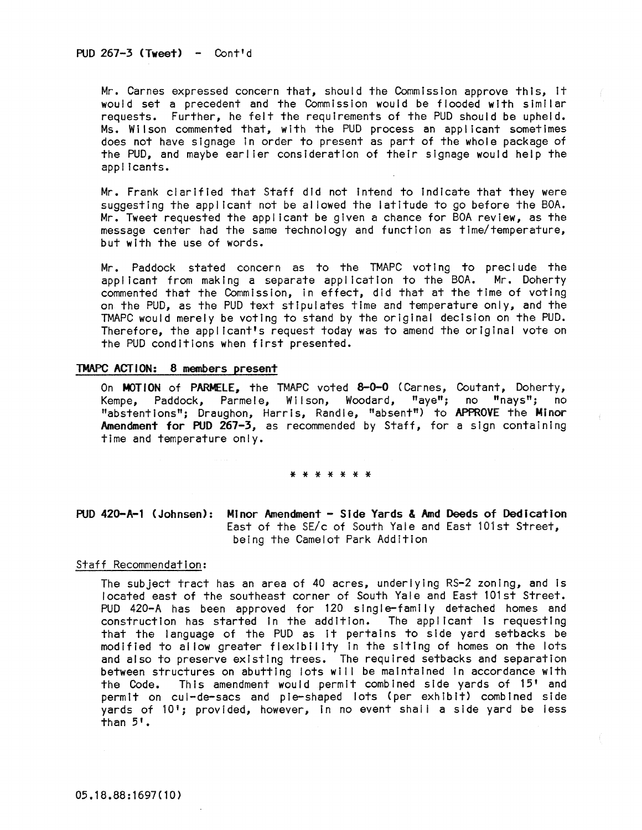Mr. Carnes expressed concern that, should the Commission approve this, It would set a precedent and the Commission would be flooded with similar requests. Further, he felt the requirements of the PUD should be upheld. Ms. Wilson commented that, with the PUD process an applicant sometimes does not have slgnage in order to present as part of the whole package of the PUD, and maybe earlier consideration of their slgnage would help the applicants.

Mr. Frank clarified that Staff did not Intend to Indicate that they were suggesting the applicant not be al lowed the latitude to go before the BOA. Mr. Tweet requested the applicant be given a chance for BOA review, as the message center had the same technology and function as time/temperature, but with the use of words.

Mr. Paddock stated concern as to the TMAPC voting to preclude the applicant from making a separate application to the BOA. Mr. Doherty commented that the Commission, In effect, did that at the time of voting on the PUD, as the PUD text stIpulates time and temperature only, and the TMAPC would merely be voting to stand by the original decision on the PUD. Therefore, the applicant's request today was to amend the original vote on the PUD conditions when first presented.

### TMAPC ACT ION: 8 members present

On MOTION of PARMELE, the TMAPC voted 8-0-0 (Carnes, Coutant, Doherty, Kempe, Paddock, Parmele, Wilson, Woodard, "aye"; no "nays"; no "abstentions"; Draughon, Harris, Randle, "absent") to APPROVE the Minor Amendment for PUD 267-3, as recommended by Staff, for a sign containing time and temperature only.

#### \* \* \* \* \* \* \*

# PUD 420-A-1 (Johnsen): Minor Amendment - Side Yards & Amd Deeds of Dedication East of the SE/c of South Yale and East 101st Street. being the Camelot Park Addition

#### Staff Recommendation:

The subject tract has an area of 40 acres, underlying RS-2 zoning, and Is located east of the southeast corner of South Yale and East 101st Street. PUD 420-A has been approved for 120 single-family detached homes and construction has started in the addition. The applicant is requesting that the language of the PUD as it pertains to side yard setbacks be modified to al low greater flexibility In the siting of homes on the lots and also to preserve existing trees. The required setbacks and separation between structures on abutting lots will be maintained in accordance with the Code. This amendment would permit combined side yards of 15' and permit on cul-de-sacs and pie-shaped lots (per exhibit) combined side yards of 10'; provided, however, in no event shall a side yard be less than 5'.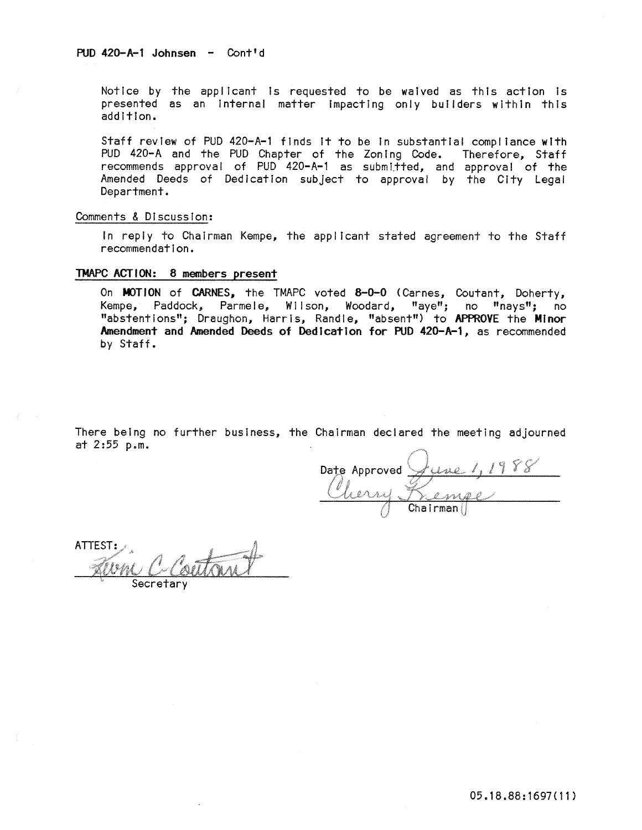Notice by the applicant is requested to be waived as this action is presented as an Internal matter Impacting only builders within this addition.

Staff review of PUD 420-A-1 finds It to be In substantial compl lance with PUD 420-A and the PUD Chapter of the Zoning Code. Therefore, Staff recommends approval of PUD 420-A-1 as submitted, and approval of the Amended Deeds of Dedication subject to approval by the City Legal Department.

# Comments & Discussion:

In reply to Chairman Kempe, the applicant stated agreement to the Staff recommendation.

# TMAPC ACTION: 8 members present

On MOTION of CARNES, the TMAPC voted 8-0-0 (Carnes, Coutant, Doherty, Kempe, Paddock, Parmele, Wilson, Woodard, "aye"; no "nays"; no "abstentions"; Draughon, Harris, Randle, "absent") to APPROVE the Minor Amendment and Amended Deeds of Dedication for PUD 420-A-l, as recommended by Staff.

There being no further business, the Chairman declared the meeting adjourned at 2 :55 p.m.

Date Approved June 1, 1988<br>Kempe

ATTEST: